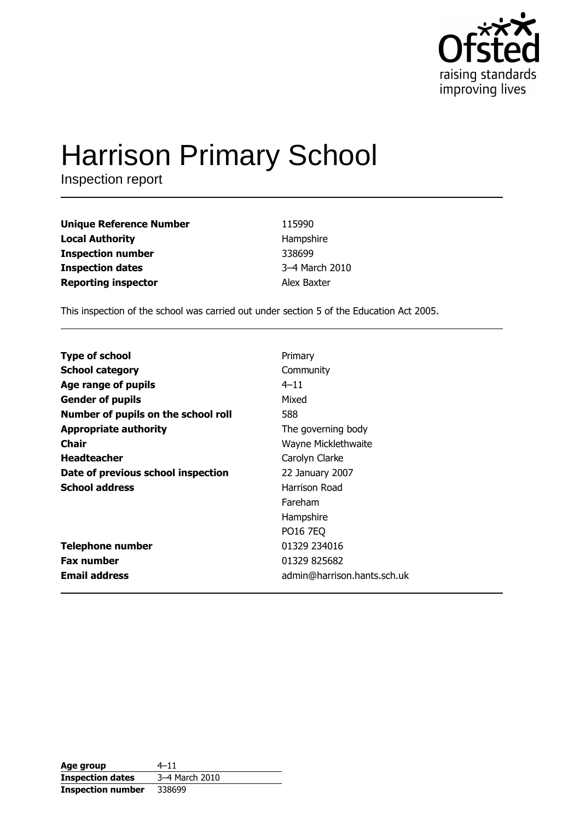

# **Harrison Primary School**

Inspection report

| <b>Unique Reference Number</b> | 115990         |
|--------------------------------|----------------|
| <b>Local Authority</b>         | Hampshire      |
| <b>Inspection number</b>       | 338699         |
| <b>Inspection dates</b>        | 3-4 March 2010 |
| <b>Reporting inspector</b>     | Alex Baxter    |

This inspection of the school was carried out under section 5 of the Education Act 2005.

| <b>Type of school</b>               | Primary                     |
|-------------------------------------|-----------------------------|
|                                     |                             |
| <b>School category</b>              | Community                   |
| Age range of pupils                 | $4 - 11$                    |
| <b>Gender of pupils</b>             | Mixed                       |
| Number of pupils on the school roll | 588                         |
| <b>Appropriate authority</b>        | The governing body          |
| <b>Chair</b>                        | Wayne Micklethwaite         |
| <b>Headteacher</b>                  | Carolyn Clarke              |
| Date of previous school inspection  | 22 January 2007             |
| <b>School address</b>               | Harrison Road               |
|                                     | Fareham                     |
|                                     | Hampshire                   |
|                                     | <b>PO16 7EQ</b>             |
| <b>Telephone number</b>             | 01329 234016                |
| <b>Fax number</b>                   | 01329 825682                |
| <b>Email address</b>                | admin@harrison.hants.sch.uk |

| Age group                | $4 - 11$       |
|--------------------------|----------------|
| <b>Inspection dates</b>  | 3-4 March 2010 |
| <b>Inspection number</b> | 338699         |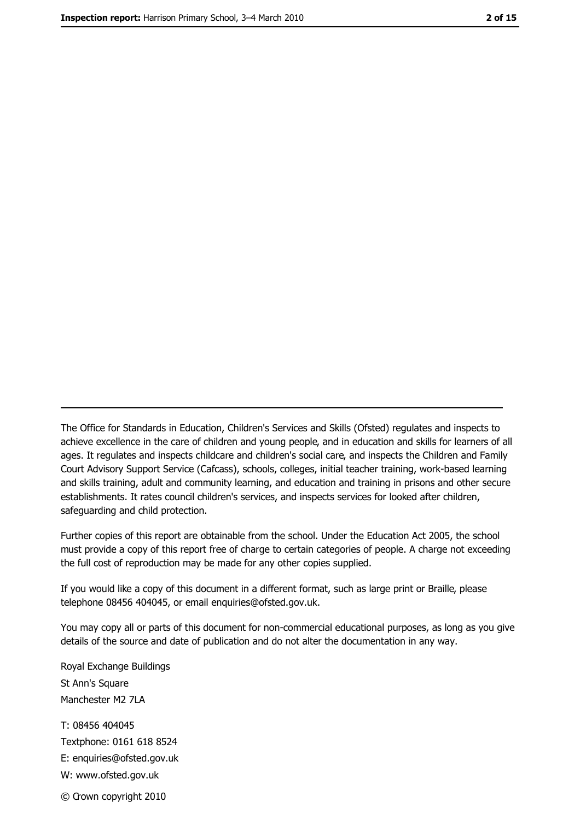The Office for Standards in Education, Children's Services and Skills (Ofsted) regulates and inspects to achieve excellence in the care of children and young people, and in education and skills for learners of all ages. It regulates and inspects childcare and children's social care, and inspects the Children and Family Court Advisory Support Service (Cafcass), schools, colleges, initial teacher training, work-based learning and skills training, adult and community learning, and education and training in prisons and other secure establishments. It rates council children's services, and inspects services for looked after children, safequarding and child protection.

Further copies of this report are obtainable from the school. Under the Education Act 2005, the school must provide a copy of this report free of charge to certain categories of people. A charge not exceeding the full cost of reproduction may be made for any other copies supplied.

If you would like a copy of this document in a different format, such as large print or Braille, please telephone 08456 404045, or email enquiries@ofsted.gov.uk.

You may copy all or parts of this document for non-commercial educational purposes, as long as you give details of the source and date of publication and do not alter the documentation in any way.

Royal Exchange Buildings St Ann's Square Manchester M2 7LA T: 08456 404045 Textphone: 0161 618 8524 E: enquiries@ofsted.gov.uk W: www.ofsted.gov.uk © Crown copyright 2010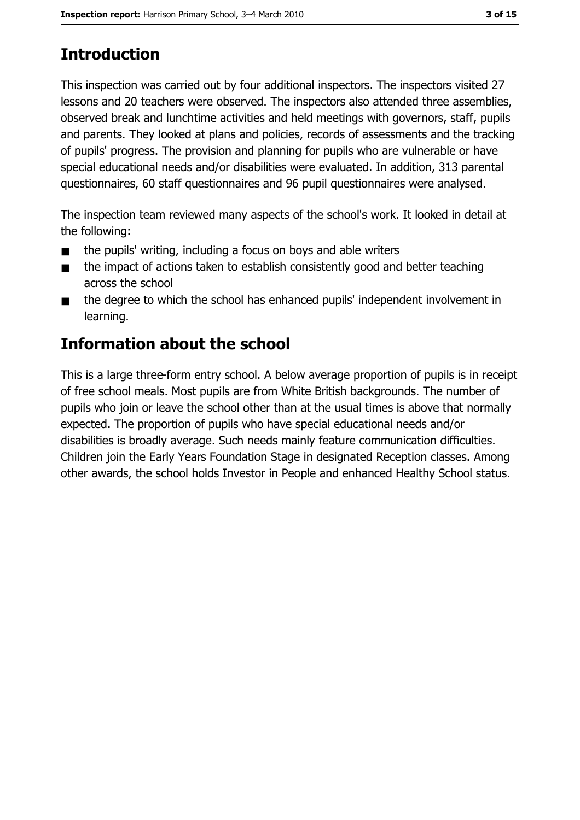# **Introduction**

This inspection was carried out by four additional inspectors. The inspectors visited 27 lessons and 20 teachers were observed. The inspectors also attended three assemblies, observed break and lunchtime activities and held meetings with governors, staff, pupils and parents. They looked at plans and policies, records of assessments and the tracking of pupils' progress. The provision and planning for pupils who are vulnerable or have special educational needs and/or disabilities were evaluated. In addition, 313 parental questionnaires, 60 staff questionnaires and 96 pupil questionnaires were analysed.

The inspection team reviewed many aspects of the school's work. It looked in detail at the following:

- the pupils' writing, including a focus on boys and able writers  $\blacksquare$
- the impact of actions taken to establish consistently good and better teaching  $\blacksquare$ across the school
- the degree to which the school has enhanced pupils' independent involvement in  $\blacksquare$ learning.

### **Information about the school**

This is a large three-form entry school. A below average proportion of pupils is in receipt of free school meals. Most pupils are from White British backgrounds. The number of pupils who join or leave the school other than at the usual times is above that normally expected. The proportion of pupils who have special educational needs and/or disabilities is broadly average. Such needs mainly feature communication difficulties. Children join the Early Years Foundation Stage in designated Reception classes. Among other awards, the school holds Investor in People and enhanced Healthy School status.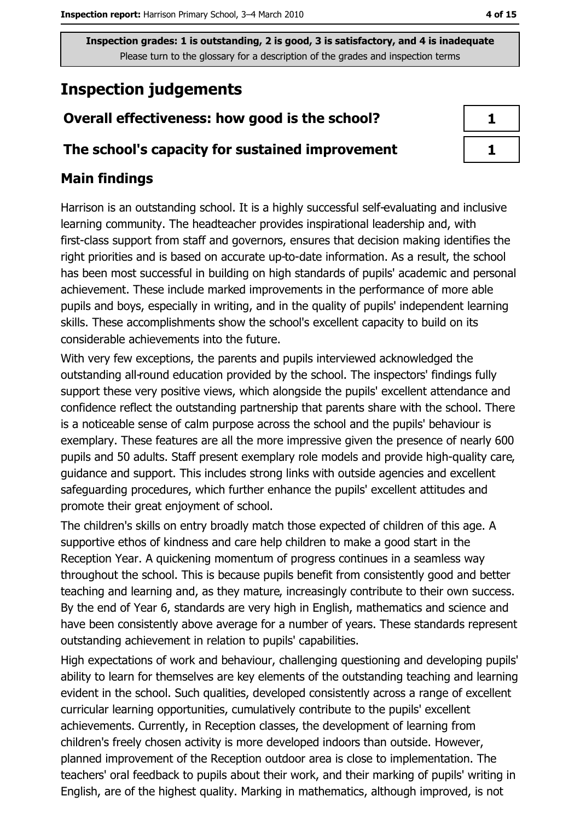## **Inspection judgements**

#### Overall effectiveness: how good is the school?

#### The school's capacity for sustained improvement

#### **Main findings**

Harrison is an outstanding school. It is a highly successful self-evaluating and inclusive learning community. The headteacher provides inspirational leadership and, with first-class support from staff and governors, ensures that decision making identifies the right priorities and is based on accurate up-to-date information. As a result, the school has been most successful in building on high standards of pupils' academic and personal achievement. These include marked improvements in the performance of more able pupils and boys, especially in writing, and in the quality of pupils' independent learning skills. These accomplishments show the school's excellent capacity to build on its considerable achievements into the future.

With very few exceptions, the parents and pupils interviewed acknowledged the outstanding all-round education provided by the school. The inspectors' findings fully support these very positive views, which alongside the pupils' excellent attendance and confidence reflect the outstanding partnership that parents share with the school. There is a noticeable sense of calm purpose across the school and the pupils' behaviour is exemplary. These features are all the more impressive given the presence of nearly 600 pupils and 50 adults. Staff present exemplary role models and provide high-quality care, guidance and support. This includes strong links with outside agencies and excellent safeguarding procedures, which further enhance the pupils' excellent attitudes and promote their great enjoyment of school.

The children's skills on entry broadly match those expected of children of this age. A supportive ethos of kindness and care help children to make a good start in the Reception Year. A quickening momentum of progress continues in a seamless way throughout the school. This is because pupils benefit from consistently good and better teaching and learning and, as they mature, increasingly contribute to their own success. By the end of Year 6, standards are very high in English, mathematics and science and have been consistently above average for a number of years. These standards represent outstanding achievement in relation to pupils' capabilities.

High expectations of work and behaviour, challenging questioning and developing pupils' ability to learn for themselves are key elements of the outstanding teaching and learning evident in the school. Such qualities, developed consistently across a range of excellent curricular learning opportunities, cumulatively contribute to the pupils' excellent achievements. Currently, in Reception classes, the development of learning from children's freely chosen activity is more developed indoors than outside. However, planned improvement of the Reception outdoor area is close to implementation. The teachers' oral feedback to pupils about their work, and their marking of pupils' writing in English, are of the highest quality. Marking in mathematics, although improved, is not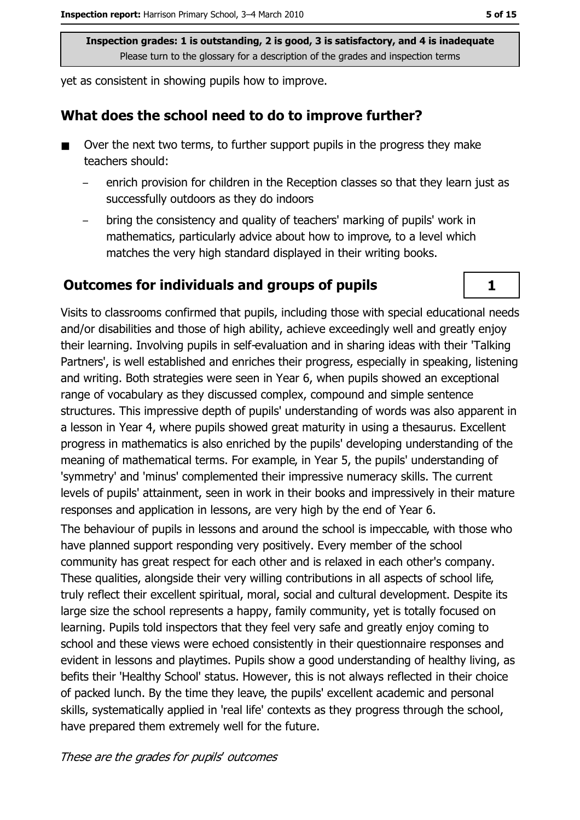yet as consistent in showing pupils how to improve.

#### What does the school need to do to improve further?

- Over the next two terms, to further support pupils in the progress they make teachers should:
	- enrich provision for children in the Reception classes so that they learn just as successfully outdoors as they do indoors
	- bring the consistency and quality of teachers' marking of pupils' work in mathematics, particularly advice about how to improve, to a level which matches the very high standard displayed in their writing books.

#### **Outcomes for individuals and groups of pupils**

Visits to classrooms confirmed that pupils, including those with special educational needs and/or disabilities and those of high ability, achieve exceedingly well and greatly enjoy their learning. Involving pupils in self-evaluation and in sharing ideas with their 'Talking Partners', is well established and enriches their progress, especially in speaking, listening and writing. Both strategies were seen in Year 6, when pupils showed an exceptional range of vocabulary as they discussed complex, compound and simple sentence structures. This impressive depth of pupils' understanding of words was also apparent in a lesson in Year 4, where pupils showed great maturity in using a thesaurus. Excellent progress in mathematics is also enriched by the pupils' developing understanding of the meaning of mathematical terms. For example, in Year 5, the pupils' understanding of 'symmetry' and 'minus' complemented their impressive numeracy skills. The current levels of pupils' attainment, seen in work in their books and impressively in their mature responses and application in lessons, are very high by the end of Year 6.

The behaviour of pupils in lessons and around the school is impeccable, with those who have planned support responding very positively. Every member of the school community has great respect for each other and is relaxed in each other's company. These qualities, alongside their very willing contributions in all aspects of school life, truly reflect their excellent spiritual, moral, social and cultural development. Despite its large size the school represents a happy, family community, yet is totally focused on learning. Pupils told inspectors that they feel very safe and greatly enjoy coming to school and these views were echoed consistently in their questionnaire responses and evident in lessons and playtimes. Pupils show a good understanding of healthy living, as befits their 'Healthy School' status. However, this is not always reflected in their choice of packed lunch. By the time they leave, the pupils' excellent academic and personal skills, systematically applied in 'real life' contexts as they progress through the school, have prepared them extremely well for the future.

 $\mathbf{1}$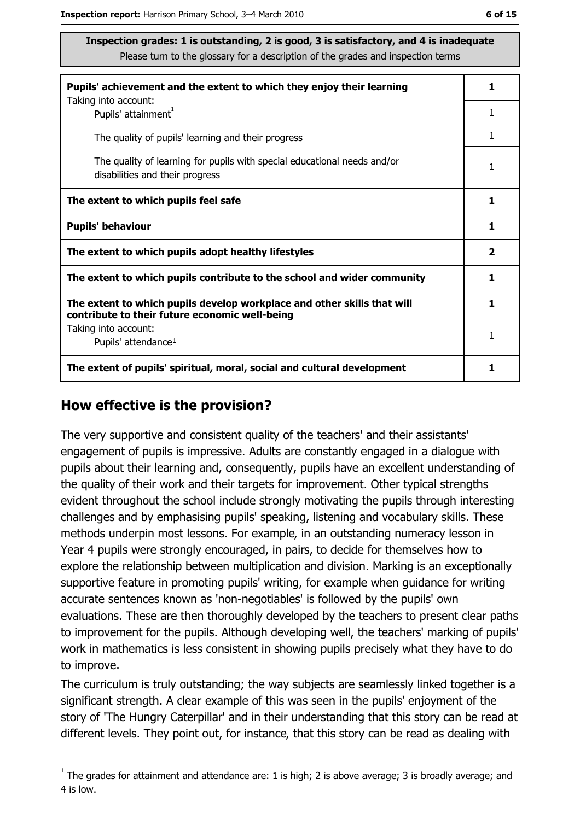| Pupils' achievement and the extent to which they enjoy their learning                                                     |              |  |
|---------------------------------------------------------------------------------------------------------------------------|--------------|--|
| Taking into account:<br>Pupils' attainment <sup>1</sup>                                                                   | 1            |  |
| The quality of pupils' learning and their progress                                                                        |              |  |
| The quality of learning for pupils with special educational needs and/or<br>disabilities and their progress               |              |  |
| The extent to which pupils feel safe                                                                                      | 1            |  |
| <b>Pupils' behaviour</b>                                                                                                  | 1            |  |
| The extent to which pupils adopt healthy lifestyles                                                                       | $\mathbf{2}$ |  |
| The extent to which pupils contribute to the school and wider community                                                   | 1            |  |
| The extent to which pupils develop workplace and other skills that will<br>contribute to their future economic well-being |              |  |
| Taking into account:<br>Pupils' attendance <sup>1</sup>                                                                   | 1            |  |
| The extent of pupils' spiritual, moral, social and cultural development                                                   |              |  |

#### How effective is the provision?

The very supportive and consistent quality of the teachers' and their assistants' engagement of pupils is impressive. Adults are constantly engaged in a dialogue with pupils about their learning and, consequently, pupils have an excellent understanding of the quality of their work and their targets for improvement. Other typical strengths evident throughout the school include strongly motivating the pupils through interesting challenges and by emphasising pupils' speaking, listening and vocabulary skills. These methods underpin most lessons. For example, in an outstanding numeracy lesson in Year 4 pupils were strongly encouraged, in pairs, to decide for themselves how to explore the relationship between multiplication and division. Marking is an exceptionally supportive feature in promoting pupils' writing, for example when guidance for writing accurate sentences known as 'non-negotiables' is followed by the pupils' own evaluations. These are then thoroughly developed by the teachers to present clear paths to improvement for the pupils. Although developing well, the teachers' marking of pupils' work in mathematics is less consistent in showing pupils precisely what they have to do to improve.

The curriculum is truly outstanding; the way subjects are seamlessly linked together is a significant strength. A clear example of this was seen in the pupils' enjoyment of the story of 'The Hungry Caterpillar' and in their understanding that this story can be read at different levels. They point out, for instance, that this story can be read as dealing with

 $1$  The grades for attainment and attendance are: 1 is high; 2 is above average; 3 is broadly average; and 4 is low.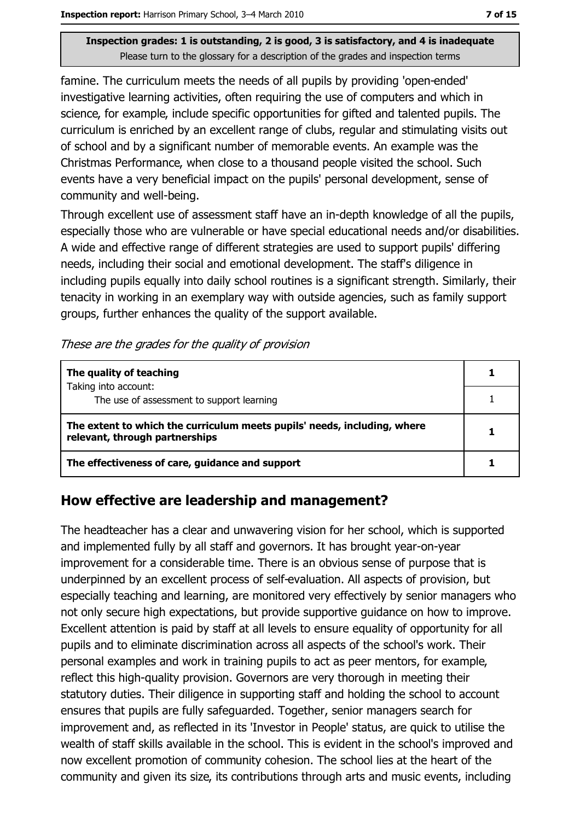famine. The curriculum meets the needs of all pupils by providing 'open-ended' investigative learning activities, often requiring the use of computers and which in science, for example, include specific opportunities for gifted and talented pupils. The curriculum is enriched by an excellent range of clubs, regular and stimulating visits out of school and by a significant number of memorable events. An example was the Christmas Performance, when close to a thousand people visited the school. Such events have a very beneficial impact on the pupils' personal development, sense of community and well-being.

Through excellent use of assessment staff have an in-depth knowledge of all the pupils, especially those who are vulnerable or have special educational needs and/or disabilities. A wide and effective range of different strategies are used to support pupils' differing needs, including their social and emotional development. The staff's diligence in including pupils equally into daily school routines is a significant strength. Similarly, their tenacity in working in an exemplary way with outside agencies, such as family support groups, further enhances the quality of the support available.

These are the grades for the quality of provision

| The quality of teaching                                                                                    |  |
|------------------------------------------------------------------------------------------------------------|--|
| Taking into account:<br>The use of assessment to support learning                                          |  |
| The extent to which the curriculum meets pupils' needs, including, where<br>relevant, through partnerships |  |
| The effectiveness of care, guidance and support                                                            |  |

#### How effective are leadership and management?

The headteacher has a clear and unwavering vision for her school, which is supported and implemented fully by all staff and governors. It has brought year-on-year improvement for a considerable time. There is an obvious sense of purpose that is underpinned by an excellent process of self-evaluation. All aspects of provision, but especially teaching and learning, are monitored very effectively by senior managers who not only secure high expectations, but provide supportive guidance on how to improve. Excellent attention is paid by staff at all levels to ensure equality of opportunity for all pupils and to eliminate discrimination across all aspects of the school's work. Their personal examples and work in training pupils to act as peer mentors, for example, reflect this high-quality provision. Governors are very thorough in meeting their statutory duties. Their diligence in supporting staff and holding the school to account ensures that pupils are fully safeguarded. Together, senior managers search for improvement and, as reflected in its 'Investor in People' status, are quick to utilise the wealth of staff skills available in the school. This is evident in the school's improved and now excellent promotion of community cohesion. The school lies at the heart of the community and given its size, its contributions through arts and music events, including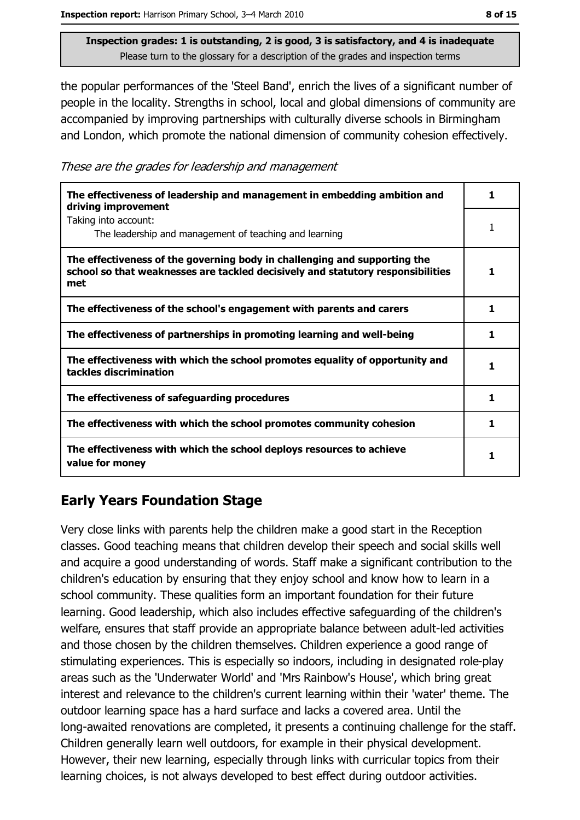the popular performances of the 'Steel Band', enrich the lives of a significant number of people in the locality. Strengths in school, local and global dimensions of community are accompanied by improving partnerships with culturally diverse schools in Birmingham and London, which promote the national dimension of community cohesion effectively.

These are the grades for leadership and management

| The effectiveness of leadership and management in embedding ambition and<br>driving improvement                                                                     | 1  |
|---------------------------------------------------------------------------------------------------------------------------------------------------------------------|----|
| Taking into account:<br>The leadership and management of teaching and learning                                                                                      | 1  |
| The effectiveness of the governing body in challenging and supporting the<br>school so that weaknesses are tackled decisively and statutory responsibilities<br>met | 1  |
| The effectiveness of the school's engagement with parents and carers                                                                                                | 1  |
| The effectiveness of partnerships in promoting learning and well-being                                                                                              | 1. |
| The effectiveness with which the school promotes equality of opportunity and<br>tackles discrimination                                                              | 1  |
| The effectiveness of safeguarding procedures                                                                                                                        | 1  |
| The effectiveness with which the school promotes community cohesion                                                                                                 | 1  |
| The effectiveness with which the school deploys resources to achieve<br>value for money                                                                             | 1  |

## **Early Years Foundation Stage**

Very close links with parents help the children make a good start in the Reception classes. Good teaching means that children develop their speech and social skills well and acquire a good understanding of words. Staff make a significant contribution to the children's education by ensuring that they enjoy school and know how to learn in a school community. These qualities form an important foundation for their future learning. Good leadership, which also includes effective safeguarding of the children's welfare, ensures that staff provide an appropriate balance between adult-led activities and those chosen by the children themselves. Children experience a good range of stimulating experiences. This is especially so indoors, including in designated role-play areas such as the 'Underwater World' and 'Mrs Rainbow's House', which bring great interest and relevance to the children's current learning within their 'water' theme. The outdoor learning space has a hard surface and lacks a covered area. Until the long-awaited renovations are completed, it presents a continuing challenge for the staff. Children generally learn well outdoors, for example in their physical development. However, their new learning, especially through links with curricular topics from their learning choices, is not always developed to best effect during outdoor activities.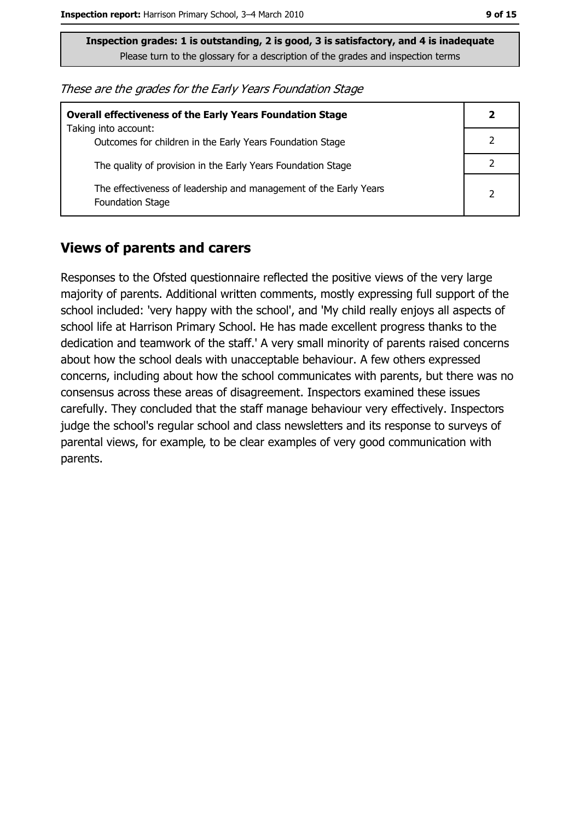| These are the grades for the Early Years Foundation Stage |  |  |
|-----------------------------------------------------------|--|--|
|-----------------------------------------------------------|--|--|

| <b>Overall effectiveness of the Early Years Foundation Stage</b>                             |               |
|----------------------------------------------------------------------------------------------|---------------|
| Taking into account:<br>Outcomes for children in the Early Years Foundation Stage            |               |
| The quality of provision in the Early Years Foundation Stage                                 |               |
| The effectiveness of leadership and management of the Early Years<br><b>Foundation Stage</b> | $\mathcal{P}$ |

#### **Views of parents and carers**

Responses to the Ofsted questionnaire reflected the positive views of the very large majority of parents. Additional written comments, mostly expressing full support of the school included: 'very happy with the school', and 'My child really enjoys all aspects of school life at Harrison Primary School. He has made excellent progress thanks to the dedication and teamwork of the staff.' A very small minority of parents raised concerns about how the school deals with unacceptable behaviour. A few others expressed concerns, including about how the school communicates with parents, but there was no consensus across these areas of disagreement. Inspectors examined these issues carefully. They concluded that the staff manage behaviour very effectively. Inspectors judge the school's regular school and class newsletters and its response to surveys of parental views, for example, to be clear examples of very good communication with parents.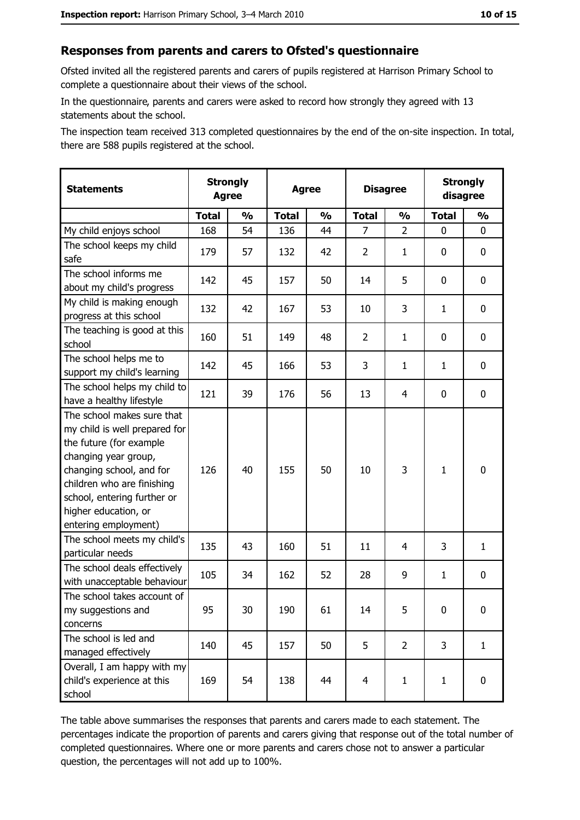#### Responses from parents and carers to Ofsted's questionnaire

Ofsted invited all the registered parents and carers of pupils registered at Harrison Primary School to complete a questionnaire about their views of the school.

In the questionnaire, parents and carers were asked to record how strongly they agreed with 13 statements about the school.

The inspection team received 313 completed questionnaires by the end of the on-site inspection. In total, there are 588 pupils registered at the school.

| <b>Statements</b>                                                                                                                                                                                                                                       | <b>Strongly</b><br><b>Agree</b> |               | <b>Agree</b> |               | <b>Disagree</b> |                |              | <b>Strongly</b><br>disagree |
|---------------------------------------------------------------------------------------------------------------------------------------------------------------------------------------------------------------------------------------------------------|---------------------------------|---------------|--------------|---------------|-----------------|----------------|--------------|-----------------------------|
|                                                                                                                                                                                                                                                         | <b>Total</b>                    | $\frac{1}{2}$ | <b>Total</b> | $\frac{0}{0}$ | <b>Total</b>    | $\frac{1}{2}$  | <b>Total</b> | $\frac{1}{2}$               |
| My child enjoys school                                                                                                                                                                                                                                  | 168                             | 54            | 136          | 44            | $\overline{7}$  | $\overline{2}$ | 0            | 0                           |
| The school keeps my child<br>safe                                                                                                                                                                                                                       | 179                             | 57            | 132          | 42            | $\overline{2}$  | 1              | 0            | $\mathbf 0$                 |
| The school informs me<br>about my child's progress                                                                                                                                                                                                      | 142                             | 45            | 157          | 50            | 14              | 5              | 0            | 0                           |
| My child is making enough<br>progress at this school                                                                                                                                                                                                    | 132                             | 42            | 167          | 53            | 10              | 3              | 1            | 0                           |
| The teaching is good at this<br>school                                                                                                                                                                                                                  | 160                             | 51            | 149          | 48            | $\overline{2}$  | $\mathbf{1}$   | 0            | 0                           |
| The school helps me to<br>support my child's learning                                                                                                                                                                                                   | 142                             | 45            | 166          | 53            | 3               | $\mathbf{1}$   | 1            | $\mathbf 0$                 |
| The school helps my child to<br>have a healthy lifestyle                                                                                                                                                                                                | 121                             | 39            | 176          | 56            | 13              | 4              | 0            | $\mathbf 0$                 |
| The school makes sure that<br>my child is well prepared for<br>the future (for example<br>changing year group,<br>changing school, and for<br>children who are finishing<br>school, entering further or<br>higher education, or<br>entering employment) | 126                             | 40            | 155          | 50            | 10              | 3              | $\mathbf{1}$ | $\mathbf 0$                 |
| The school meets my child's<br>particular needs                                                                                                                                                                                                         | 135                             | 43            | 160          | 51            | 11              | 4              | 3            | $\mathbf{1}$                |
| The school deals effectively<br>with unacceptable behaviour                                                                                                                                                                                             | 105                             | 34            | 162          | 52            | 28              | 9              | $\mathbf{1}$ | $\mathbf 0$                 |
| The school takes account of<br>my suggestions and<br>concerns                                                                                                                                                                                           | 95                              | 30            | 190          | 61            | 14              | 5              | 0            | $\bf{0}$                    |
| The school is led and<br>managed effectively                                                                                                                                                                                                            | 140                             | 45            | 157          | 50            | 5               | $\overline{2}$ | 3            | $\mathbf{1}$                |
| Overall, I am happy with my<br>child's experience at this<br>school                                                                                                                                                                                     | 169                             | 54            | 138          | 44            | $\overline{4}$  | $\mathbf{1}$   | $\mathbf{1}$ | $\mathbf 0$                 |

The table above summarises the responses that parents and carers made to each statement. The percentages indicate the proportion of parents and carers giving that response out of the total number of completed questionnaires. Where one or more parents and carers chose not to answer a particular question, the percentages will not add up to 100%.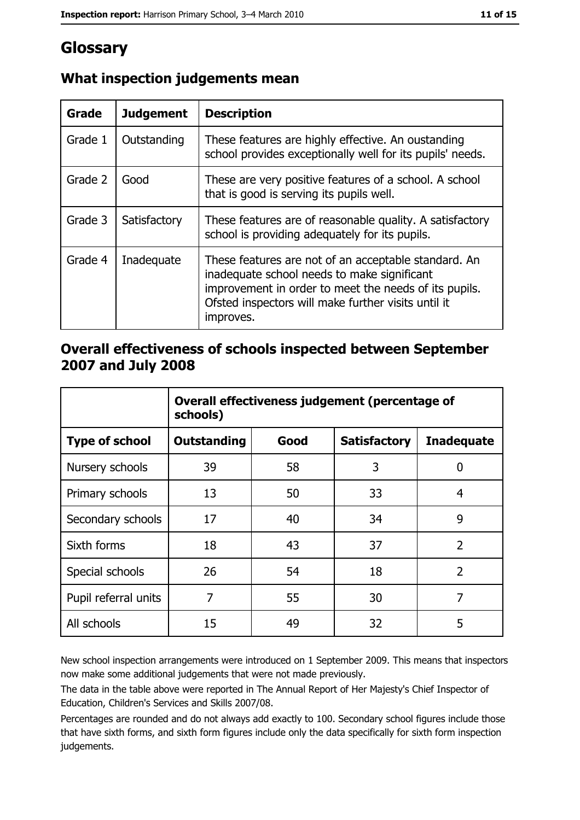# Glossary

| Grade   | <b>Judgement</b> | <b>Description</b>                                                                                                                                                                                                               |
|---------|------------------|----------------------------------------------------------------------------------------------------------------------------------------------------------------------------------------------------------------------------------|
| Grade 1 | Outstanding      | These features are highly effective. An oustanding<br>school provides exceptionally well for its pupils' needs.                                                                                                                  |
| Grade 2 | Good             | These are very positive features of a school. A school<br>that is good is serving its pupils well.                                                                                                                               |
| Grade 3 | Satisfactory     | These features are of reasonable quality. A satisfactory<br>school is providing adequately for its pupils.                                                                                                                       |
| Grade 4 | Inadequate       | These features are not of an acceptable standard. An<br>inadequate school needs to make significant<br>improvement in order to meet the needs of its pupils.<br>Ofsted inspectors will make further visits until it<br>improves. |

#### What inspection judgements mean

#### Overall effectiveness of schools inspected between September 2007 and July 2008

|                       | Overall effectiveness judgement (percentage of<br>schools) |      |                     |                   |  |
|-----------------------|------------------------------------------------------------|------|---------------------|-------------------|--|
| <b>Type of school</b> | <b>Outstanding</b>                                         | Good | <b>Satisfactory</b> | <b>Inadequate</b> |  |
| Nursery schools       | 39                                                         | 58   | 3                   | 0                 |  |
| Primary schools       | 13                                                         | 50   | 33                  | 4                 |  |
| Secondary schools     | 17                                                         | 40   | 34                  | 9                 |  |
| Sixth forms           | 18                                                         | 43   | 37                  | $\overline{2}$    |  |
| Special schools       | 26                                                         | 54   | 18                  | $\overline{2}$    |  |
| Pupil referral units  | 7                                                          | 55   | 30                  | 7                 |  |
| All schools           | 15                                                         | 49   | 32                  | 5                 |  |

New school inspection arrangements were introduced on 1 September 2009. This means that inspectors now make some additional judgements that were not made previously.

The data in the table above were reported in The Annual Report of Her Majesty's Chief Inspector of Education, Children's Services and Skills 2007/08.

Percentages are rounded and do not always add exactly to 100. Secondary school figures include those that have sixth forms, and sixth form figures include only the data specifically for sixth form inspection judgements.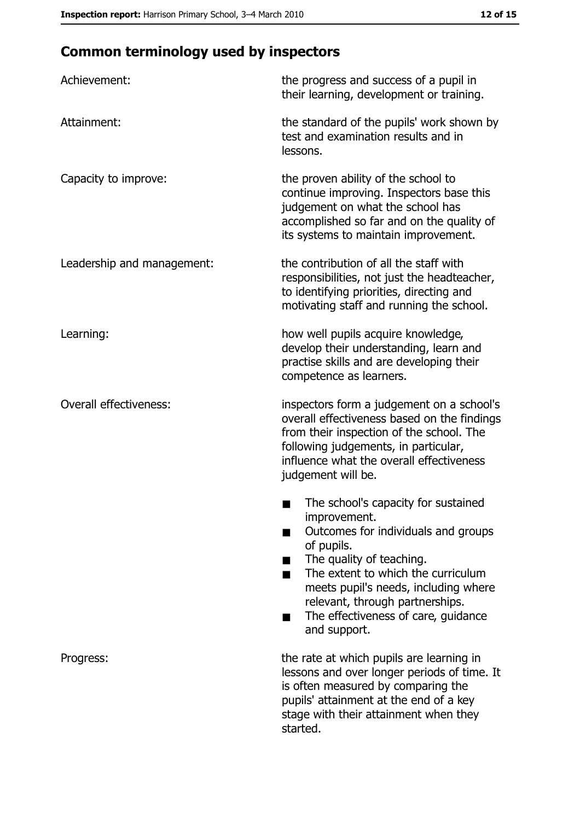## **Common terminology used by inspectors**

| Achievement:                  | the progress and success of a pupil in<br>their learning, development or training.                                                                                                                                                                                                                           |
|-------------------------------|--------------------------------------------------------------------------------------------------------------------------------------------------------------------------------------------------------------------------------------------------------------------------------------------------------------|
| Attainment:                   | the standard of the pupils' work shown by<br>test and examination results and in<br>lessons.                                                                                                                                                                                                                 |
| Capacity to improve:          | the proven ability of the school to<br>continue improving. Inspectors base this<br>judgement on what the school has<br>accomplished so far and on the quality of<br>its systems to maintain improvement.                                                                                                     |
| Leadership and management:    | the contribution of all the staff with<br>responsibilities, not just the headteacher,<br>to identifying priorities, directing and<br>motivating staff and running the school.                                                                                                                                |
| Learning:                     | how well pupils acquire knowledge,<br>develop their understanding, learn and<br>practise skills and are developing their<br>competence as learners.                                                                                                                                                          |
| <b>Overall effectiveness:</b> | inspectors form a judgement on a school's<br>overall effectiveness based on the findings<br>from their inspection of the school. The<br>following judgements, in particular,<br>influence what the overall effectiveness<br>judgement will be.                                                               |
|                               | The school's capacity for sustained<br>improvement.<br>Outcomes for individuals and groups<br>of pupils.<br>The quality of teaching.<br>The extent to which the curriculum<br>meets pupil's needs, including where<br>relevant, through partnerships.<br>The effectiveness of care, guidance<br>and support. |
| Progress:                     | the rate at which pupils are learning in<br>lessons and over longer periods of time. It<br>is often measured by comparing the<br>pupils' attainment at the end of a key<br>stage with their attainment when they<br>started.                                                                                 |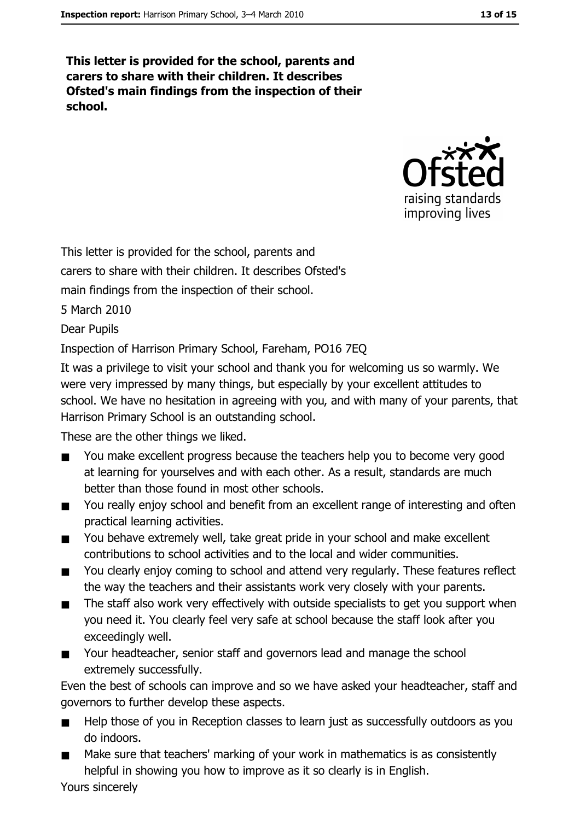This letter is provided for the school, parents and carers to share with their children. It describes Ofsted's main findings from the inspection of their school.



This letter is provided for the school, parents and carers to share with their children. It describes Ofsted's main findings from the inspection of their school. 5 March 2010 **Dear Pupils** Inspection of Harrison Primary School, Fareham, PO16 7EO

It was a privilege to visit your school and thank you for welcoming us so warmly. We were very impressed by many things, but especially by your excellent attitudes to school. We have no hesitation in agreeing with you, and with many of your parents, that Harrison Primary School is an outstanding school.

These are the other things we liked.

- You make excellent progress because the teachers help you to become very good  $\blacksquare$ at learning for yourselves and with each other. As a result, standards are much better than those found in most other schools.
- You really enjoy school and benefit from an excellent range of interesting and often  $\blacksquare$ practical learning activities.
- You behave extremely well, take great pride in your school and make excellent  $\blacksquare$ contributions to school activities and to the local and wider communities.
- You clearly enjoy coming to school and attend very regularly. These features reflect  $\blacksquare$ the way the teachers and their assistants work very closely with your parents.
- The staff also work very effectively with outside specialists to get you support when  $\blacksquare$ you need it. You clearly feel very safe at school because the staff look after you exceedingly well.
- $\blacksquare$ Your headteacher, senior staff and governors lead and manage the school extremely successfully.

Even the best of schools can improve and so we have asked your headteacher, staff and governors to further develop these aspects.

- Help those of you in Reception classes to learn just as successfully outdoors as you  $\blacksquare$ do indoors.
- Make sure that teachers' marking of your work in mathematics is as consistently helpful in showing you how to improve as it so clearly is in English.

Yours sincerely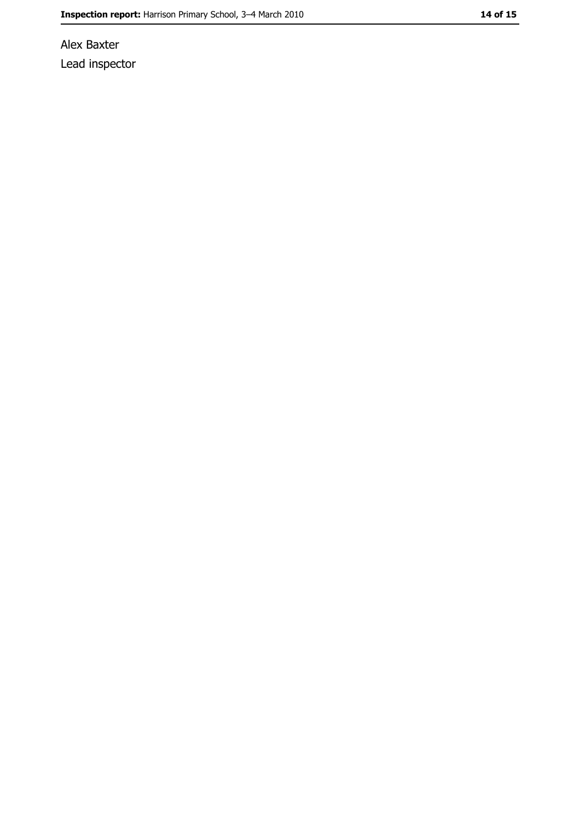Alex Baxter Lead inspector